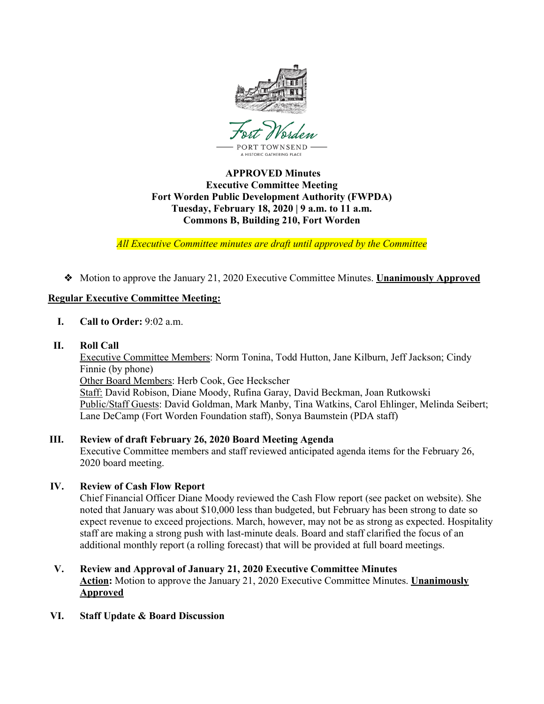

## **APPROVED Minutes Executive Committee Meeting Fort Worden Public Development Authority (FWPDA) Tuesday, February 18, 2020 | 9 a.m. to 11 a.m. Commons B, Building 210, Fort Worden**

*All Executive Committee minutes are draft until approved by the Committee*

❖ Motion to approve the January 21, 2020 Executive Committee Minutes. **Unanimously Approved**

### **Regular Executive Committee Meeting:**

- **I. Call to Order:** 9:02 a.m.
- **II. Roll Call**

Executive Committee Members: Norm Tonina, Todd Hutton, Jane Kilburn, Jeff Jackson; Cindy Finnie (by phone) Other Board Members: Herb Cook, Gee Heckscher Staff: David Robison, Diane Moody, Rufina Garay, David Beckman, Joan Rutkowski Public/Staff Guests: David Goldman, Mark Manby, Tina Watkins, Carol Ehlinger, Melinda Seibert; Lane DeCamp (Fort Worden Foundation staff), Sonya Baumstein (PDA staff)

# **III. Review of draft February 26, 2020 Board Meeting Agenda**

Executive Committee members and staff reviewed anticipated agenda items for the February 26, 2020 board meeting.

# **IV. Review of Cash Flow Report**

Chief Financial Officer Diane Moody reviewed the Cash Flow report (see packet on website). She noted that January was about \$10,000 less than budgeted, but February has been strong to date so expect revenue to exceed projections. March, however, may not be as strong as expected. Hospitality staff are making a strong push with last-minute deals. Board and staff clarified the focus of an additional monthly report (a rolling forecast) that will be provided at full board meetings.

## **V. Review and Approval of January 21, 2020 Executive Committee Minutes Action:** Motion to approve the January 21, 2020 Executive Committee Minutes. **Unanimously Approved**

**VI. Staff Update & Board Discussion**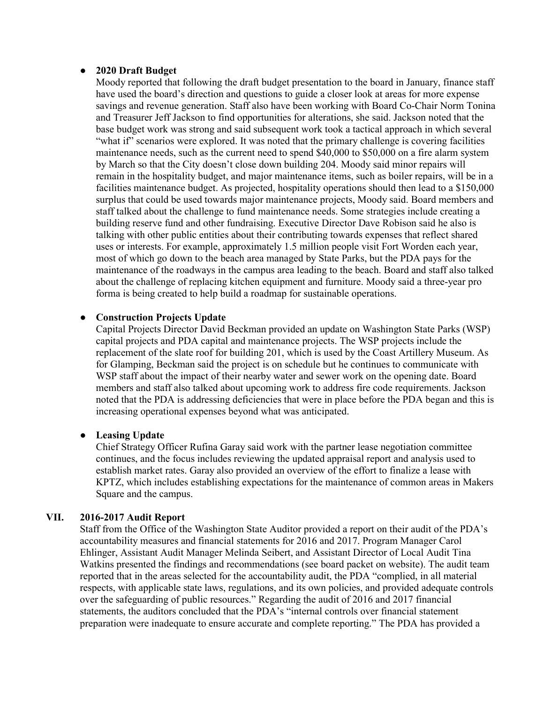### ● **2020 Draft Budget**

Moody reported that following the draft budget presentation to the board in January, finance staff have used the board's direction and questions to guide a closer look at areas for more expense savings and revenue generation. Staff also have been working with Board Co-Chair Norm Tonina and Treasurer Jeff Jackson to find opportunities for alterations, she said. Jackson noted that the base budget work was strong and said subsequent work took a tactical approach in which several "what if" scenarios were explored. It was noted that the primary challenge is covering facilities maintenance needs, such as the current need to spend \$40,000 to \$50,000 on a fire alarm system by March so that the City doesn't close down building 204. Moody said minor repairs will remain in the hospitality budget, and major maintenance items, such as boiler repairs, will be in a facilities maintenance budget. As projected, hospitality operations should then lead to a \$150,000 surplus that could be used towards major maintenance projects, Moody said. Board members and staff talked about the challenge to fund maintenance needs. Some strategies include creating a building reserve fund and other fundraising. Executive Director Dave Robison said he also is talking with other public entities about their contributing towards expenses that reflect shared uses or interests. For example, approximately 1.5 million people visit Fort Worden each year, most of which go down to the beach area managed by State Parks, but the PDA pays for the maintenance of the roadways in the campus area leading to the beach. Board and staff also talked about the challenge of replacing kitchen equipment and furniture. Moody said a three-year pro forma is being created to help build a roadmap for sustainable operations.

### **Construction Projects Update**

Capital Projects Director David Beckman provided an update on Washington State Parks (WSP) capital projects and PDA capital and maintenance projects. The WSP projects include the replacement of the slate roof for building 201, which is used by the Coast Artillery Museum. As for Glamping, Beckman said the project is on schedule but he continues to communicate with WSP staff about the impact of their nearby water and sewer work on the opening date. Board members and staff also talked about upcoming work to address fire code requirements. Jackson noted that the PDA is addressing deficiencies that were in place before the PDA began and this is increasing operational expenses beyond what was anticipated.

#### ● **Leasing Update**

Chief Strategy Officer Rufina Garay said work with the partner lease negotiation committee continues, and the focus includes reviewing the updated appraisal report and analysis used to establish market rates. Garay also provided an overview of the effort to finalize a lease with KPTZ, which includes establishing expectations for the maintenance of common areas in Makers Square and the campus.

### **VII. 2016-2017 Audit Report**

Staff from the Office of the Washington State Auditor provided a report on their audit of the PDA's accountability measures and financial statements for 2016 and 2017. Program Manager Carol Ehlinger, Assistant Audit Manager Melinda Seibert, and Assistant Director of Local Audit Tina Watkins presented the findings and recommendations (see board packet on website). The audit team reported that in the areas selected for the accountability audit, the PDA "complied, in all material respects, with applicable state laws, regulations, and its own policies, and provided adequate controls over the safeguarding of public resources." Regarding the audit of 2016 and 2017 financial statements, the auditors concluded that the PDA's "internal controls over financial statement preparation were inadequate to ensure accurate and complete reporting." The PDA has provided a